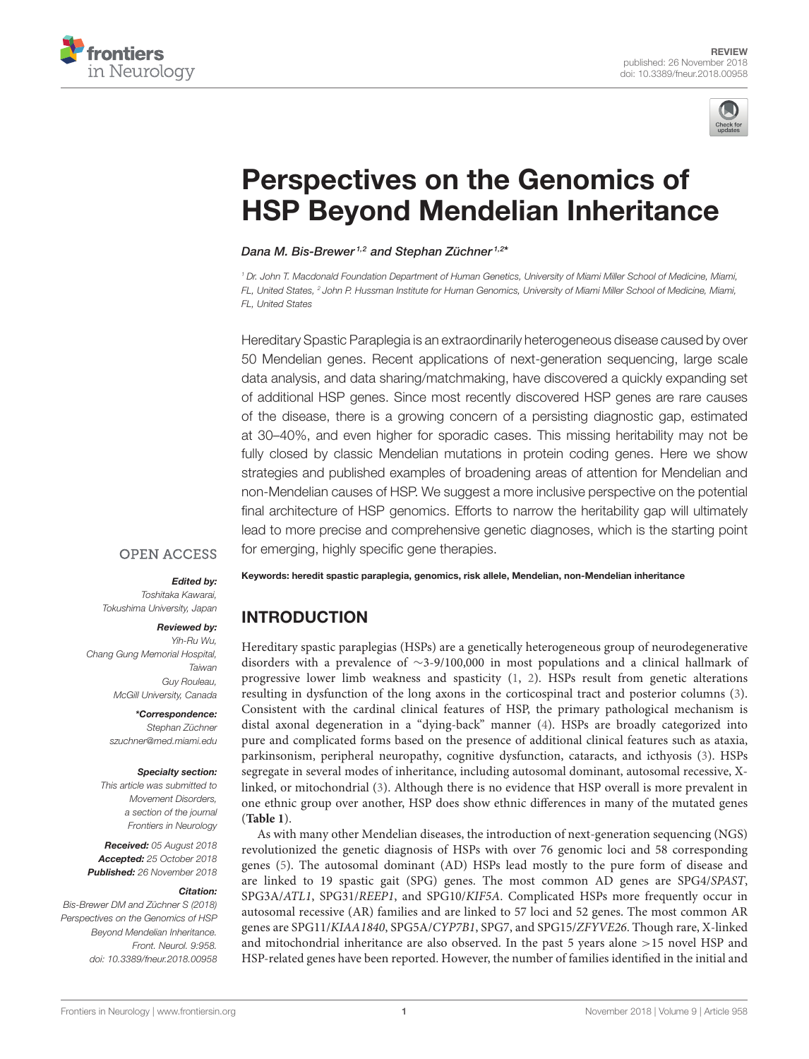



# Perspectives on the Genomics of [HSP Beyond Mendelian Inheritance](https://www.frontiersin.org/articles/10.3389/fneur.2018.00958/full)

[Dana M. Bis-Brewer](http://loop.frontiersin.org/people/642416/overview)<sup>1,2</sup> and [Stephan Züchner](http://loop.frontiersin.org/people/595498/overview)<sup>1,2\*</sup>

<sup>1</sup> Dr. John T. Macdonald Foundation Department of Human Genetics, University of Miami Miller School of Medicine, Miami, FL, United States, <sup>2</sup> John P. Hussman Institute for Human Genomics, University of Miami Miller School of Medicine, Miami, FL, United States

Hereditary Spastic Paraplegia is an extraordinarily heterogeneous disease caused by over 50 Mendelian genes. Recent applications of next-generation sequencing, large scale data analysis, and data sharing/matchmaking, have discovered a quickly expanding set of additional HSP genes. Since most recently discovered HSP genes are rare causes of the disease, there is a growing concern of a persisting diagnostic gap, estimated at 30–40%, and even higher for sporadic cases. This missing heritability may not be fully closed by classic Mendelian mutations in protein coding genes. Here we show strategies and published examples of broadening areas of attention for Mendelian and non-Mendelian causes of HSP. We suggest a more inclusive perspective on the potential final architecture of HSP genomics. Efforts to narrow the heritability gap will ultimately lead to more precise and comprehensive genetic diagnoses, which is the starting point for emerging, highly specific gene therapies.

#### **OPEN ACCESS**

#### Edited by:

Toshitaka Kawarai, Tokushima University, Japan

#### Reviewed by:

Yih-Ru Wu, Chang Gung Memorial Hospital, Taiwan Guy Rouleau, McGill University, Canada

> \*Correspondence: Stephan Züchner [szuchner@med.miami.edu](mailto:szuchner@med.miami.edu)

#### Specialty section:

This article was submitted to Movement Disorders, a section of the journal Frontiers in Neurology

Received: 05 August 2018 Accepted: 25 October 2018 Published: 26 November 2018

#### Citation:

Bis-Brewer DM and Züchner S (2018) Perspectives on the Genomics of HSP Beyond Mendelian Inheritance. Front. Neurol. 9:958. doi: [10.3389/fneur.2018.00958](https://doi.org/10.3389/fneur.2018.00958)

Keywords: heredit spastic paraplegia, genomics, risk allele, Mendelian, non-Mendelian inheritance

# INTRODUCTION

Hereditary spastic paraplegias (HSPs) are a genetically heterogeneous group of neurodegenerative disorders with a prevalence of ∼3-9/100,000 in most populations and a clinical hallmark of progressive lower limb weakness and spasticity [\(1,](#page-8-0) [2\)](#page-8-1). HSPs result from genetic alterations resulting in dysfunction of the long axons in the corticospinal tract and posterior columns [\(3\)](#page-8-2). Consistent with the cardinal clinical features of HSP, the primary pathological mechanism is distal axonal degeneration in a "dying-back" manner [\(4\)](#page-8-3). HSPs are broadly categorized into pure and complicated forms based on the presence of additional clinical features such as ataxia, parkinsonism, peripheral neuropathy, cognitive dysfunction, cataracts, and icthyosis [\(3\)](#page-8-2). HSPs segregate in several modes of inheritance, including autosomal dominant, autosomal recessive, Xlinked, or mitochondrial [\(3\)](#page-8-2). Although there is no evidence that HSP overall is more prevalent in one ethnic group over another, HSP does show ethnic differences in many of the mutated genes (**[Table 1](#page-1-0)**).

As with many other Mendelian diseases, the introduction of next-generation sequencing (NGS) revolutionized the genetic diagnosis of HSPs with over 76 genomic loci and 58 corresponding genes [\(5\)](#page-8-4). The autosomal dominant (AD) HSPs lead mostly to the pure form of disease and are linked to 19 spastic gait (SPG) genes. The most common AD genes are SPG4/SPAST, SPG3A/ATL1, SPG31/REEP1, and SPG10/KIF5A. Complicated HSPs more frequently occur in autosomal recessive (AR) families and are linked to 57 loci and 52 genes. The most common AR genes are SPG11/KIAA1840, SPG5A/CYP7B1, SPG7, and SPG15/ZFYVE26. Though rare, X-linked and mitochondrial inheritance are also observed. In the past 5 years alone >15 novel HSP and HSP-related genes have been reported. However, the number of families identified in the initial and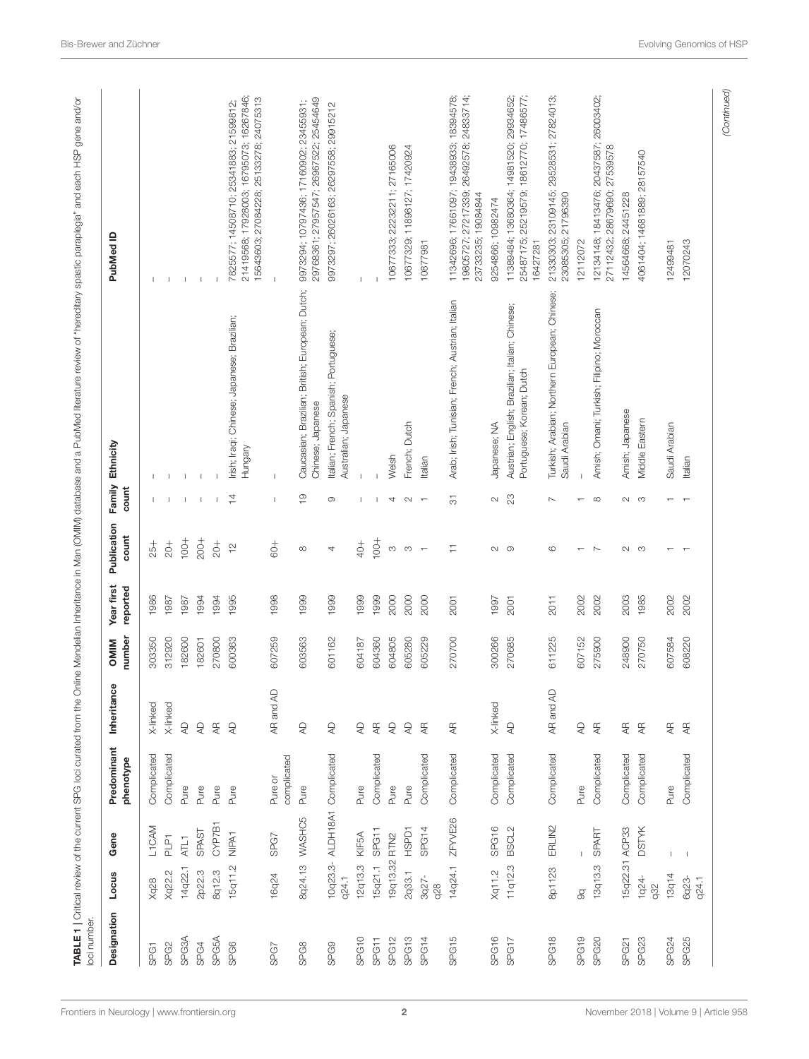| Designation       | Locus             | Gene                  | Predominant<br>phenotype | Inheritance                              | number<br><b>NIIM</b> | Year first<br>reported | Publication<br>count                                   | Family<br>count          | Ethnicity                                                                    | PubMed ID                                                                                                                   |
|-------------------|-------------------|-----------------------|--------------------------|------------------------------------------|-----------------------|------------------------|--------------------------------------------------------|--------------------------|------------------------------------------------------------------------------|-----------------------------------------------------------------------------------------------------------------------------|
| SPG1              | <b>Xq28</b>       | L1CAM                 | Complicated              | X-linked                                 | 303350                | 1986                   | $25 +$                                                 |                          | J.                                                                           |                                                                                                                             |
| SPG <sub>2</sub>  | Xq22.2            | $\overline{\text{P}}$ | Complicated              | X-linked                                 | 312920                | 1987                   | $rac{+}{20}$                                           |                          |                                                                              |                                                                                                                             |
| SPG3A             | 14q22.1           | ATL1                  | Pure                     | $\mathsf{Q}$                             | 182600                | 1987                   | $100 +$                                                | $\mathbf{I}$             | $\mathbf{I}$                                                                 | $\mathbf{I}$                                                                                                                |
| SPG4              | 2p22.3            | SPAST                 | Pure                     | $\mathbb{Q}$                             | 182601                | 1994                   | $200 +$                                                | $\mathsf I$              |                                                                              | $\mathbf{I}$                                                                                                                |
| SPG5A             | 8q12.3            | CYP7B1                | Pure                     | $\overline{\mathbb{A}}$                  | 270800                | 1994                   | $rac{+}{20}$                                           |                          |                                                                              |                                                                                                                             |
| SPG6              | 15q11.2           | NIPA <sub>1</sub>     | Pure                     | $\mathsf{Q}$                             | 600363                | 1995                   | $\frac{1}{2}$                                          | $\overline{4}$           | Irish; Iraqi; Chinese; Japanese; Brazilian;<br>Hungary                       | 21419568; 17928003; 16795073; 16267846;<br>15643603; 27084228; 25133278; 24075313<br>7825577; 14508710; 25341883; 21599812; |
| SPG7              | 16q24             | SPG7                  | complicated<br>Pure or   | $\mathbb{R}$<br>AR and                   | 607259                | 1998                   | $\begin{array}{c} +0.00000 \\ -0.00000 \\ \end{array}$ | J.                       | $\overline{1}$                                                               |                                                                                                                             |
| SPG8              | 8q24.13           | WASHC5                | Pure                     | $\mathsf{Q}$                             | 603563                | 1999                   |                                                        | $\frac{1}{2}$            | Caucasian; Brazilian; British; European; Dutch;<br>Chinese; Japanese         | 29768361; 27957547; 26967522; 25454649<br>9973294; 10797436; 17160902; 23455931;                                            |
| SPG9              | 10q23.3-<br>q24.1 | ALDH18A1              | Complicated              | $\mathbb{R}$                             | 601162                | 1999                   | 4                                                      | $\circ$                  | Italian; French; Spanish; Portuguese;<br>Australian; Japanese                | 9973297; 26026163; 26297558; 29915212                                                                                       |
| SPG <sub>10</sub> | 12q13.3           | KIF5A                 | Pure                     | $\mathsf{Q}$                             | 604187                | 1999                   | $+$                                                    | J.                       |                                                                              |                                                                                                                             |
| SPG11             | 15q21.1           | SPG11                 | Complicated              | $\rm \approx$                            | 604360                | 1999                   | $100 +$                                                | т                        |                                                                              |                                                                                                                             |
| SPG <sub>12</sub> | 19q13.32          | RTN <sub>2</sub>      | Pure                     | $\mathbb{R}$                             | 604805                | 2000                   | $\infty$                                               | 4                        | Welsh                                                                        | 10677333; 22232211; 27165006                                                                                                |
| SPG <sub>13</sub> | 2q33.1            | <b>HSPD1</b>          | Pure                     | $\mathbb{R}$                             | 605280                | 2000                   | $_{\rm CO}$                                            | $\sim$                   | French; Dutch                                                                | 11898127; 17420924<br>10677329;                                                                                             |
| SPG14             | $3q27 -$<br>928   | SPG14                 | Complicated              | $rac{1}{4}$                              | 62229                 | 2000                   | $\overline{\phantom{a}}$                               | $\overline{\phantom{a}}$ | Italian                                                                      | 10877981                                                                                                                    |
| SPG15             | 14q24.1           | ZFYVE26               | Complicated              | $\overline{\mathbb{A}}$                  | 270700                | 2001                   | Ξ                                                      | $\overline{\circ}$       | Arab; Irish; Tunisian; French; Austrian; Italian                             | 11342696; 17661097; 19438933; 18394578;<br>27217339; 26492578; 24833714;<br>19084844<br>23733235;<br>19805727;              |
| SPG16             | Xq11.2            | SPG16                 | Complicated              | X-linked                                 | 300266                | 1997                   | $\sim$                                                 | $\sim$                   | Japanese; NA                                                                 | 9254866; 10982474                                                                                                           |
| SPG17             | 11q12.3           | BSCL2                 | Complicated              | $\mathrel{\mathop{\mathsf{Q}}}\nolimits$ | 270685                | 2001                   | $\circ$                                                | $\mathbb{S}^2$           | Austrian; English; Brazilian; Italian; Chinese;<br>Portuguese; Korean; Dutch | 13680364; 14981520; 29934652;<br>25219579; 18612770; 17486577;<br>25487175;<br>11389484;<br>16427281                        |
| SPG <sub>18</sub> | 8p1123            | ERLIN2                | Complicated              | $\overline{A}$<br>AR and                 | 611225                | <b>2011</b>            | $\circ$                                                | $\overline{\phantom{a}}$ | Turkish; Arabian; Northern European; Chinese;<br>Saudi Arabian               | 23109145; 29528531; 27824013;<br>21796390<br>21330303;<br>23085305:                                                         |
| SPG <sub>19</sub> | $\overline{g}$    |                       | Pure                     | $\mathsf{Q}$                             | 607152                | 2002                   |                                                        |                          |                                                                              | 12112072                                                                                                                    |
| SPG20             | 13q13.3           | <b>SPART</b>          | Complicated              | $\overline{4}$                           | 275900                | 2002                   | $\sim$                                                 | $\infty$                 | Amish; Omani; Turkish; Filipino; Moroccan                                    | 12134148; 18413476; 20437587; 26003402;<br>27112432; 28679690; 27539578                                                     |
| SPG21             | 15q22.31          | ACP33                 | Complicated              | $\overline{4}$                           | 248900                | 2003                   | $\sim$                                                 | $\sim$                   | Amish; Japanese                                                              | 24451228<br>14564668;                                                                                                       |
| SPG23             | $1q24 -$<br>q32   | <b>DSTYK</b>          | Complicated              | $\overline{\mathcal{A}}$                 | 270750                | 1985                   | S                                                      | S                        | Middle Eastern                                                               | 4061404; 14681889; 28157540                                                                                                 |
| SPG24             | 13q14             | $\mathbb{L}$          | Pure                     | $\overline{\mathbb{A}}$                  | 607584                | 2002                   |                                                        |                          | Saudi Arabian                                                                | 12499481                                                                                                                    |
| SPG25             | 6q23-<br>q24.1    | $\blacksquare$        | Complicated              | $\overline{\mathcal{A}}$                 | 608220                | 2002                   |                                                        |                          | Italian                                                                      | 12070243                                                                                                                    |

<span id="page-1-0"></span>[Frontiers in Neurology](https://www.frontiersin.org/journals/neurology)| [www.frontiersin.org](https://www.frontiersin.org)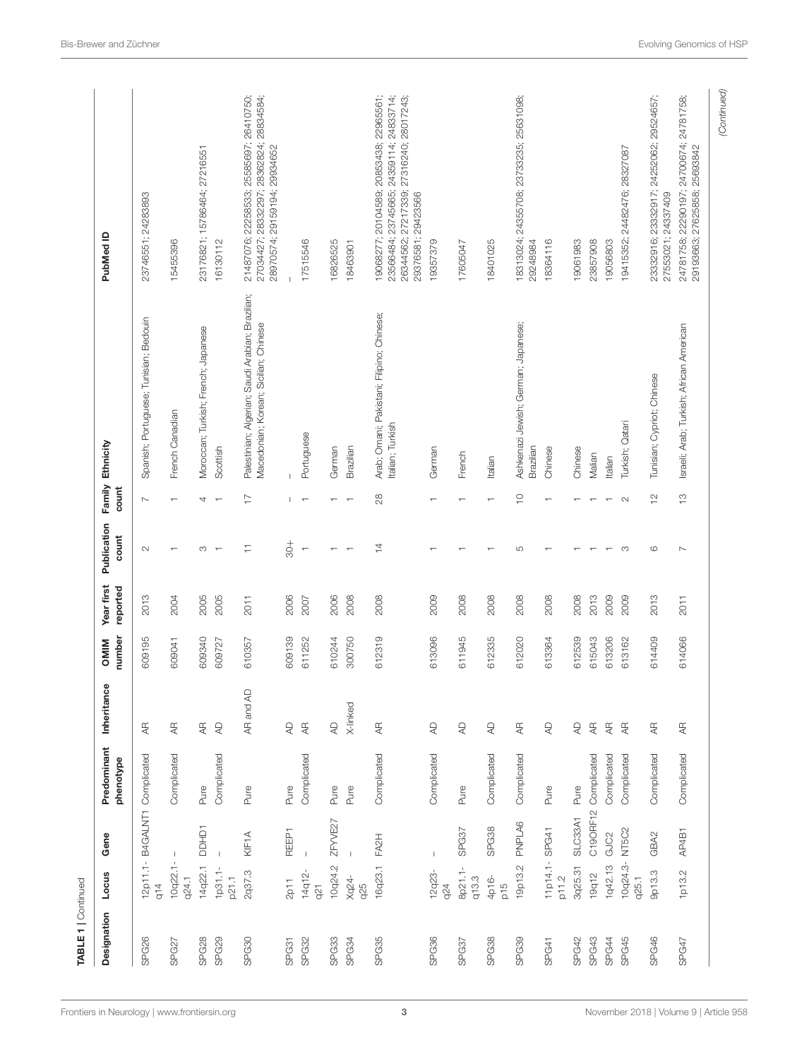| $12p11.1-$<br>$10q22.1-$<br>14q22.1<br>$1p31.1-$<br>2q37.3<br>p21.1<br>q24.1<br>q14<br>SPG26<br>SPG28<br>SPG29<br>SPG30<br>SPG27 |               | phenotype            |                          | number | reported | count                    | count          |                                                                                           |                                                                                                                                                        |
|----------------------------------------------------------------------------------------------------------------------------------|---------------|----------------------|--------------------------|--------|----------|--------------------------|----------------|-------------------------------------------------------------------------------------------|--------------------------------------------------------------------------------------------------------------------------------------------------------|
|                                                                                                                                  |               | B4GALNT1 Complicated | $\overline{\mathcal{A}}$ | 609195 | 2013     | $\sim$                   | $\overline{ }$ | Spanish; Portuguese; Tunisian; Bedouin                                                    | 23746551; 24283893                                                                                                                                     |
|                                                                                                                                  | $\mathbf{I}$  | Complicated          | $\rm \approx$            | 609041 | 2004     |                          |                | French Canadian                                                                           | 15455396                                                                                                                                               |
|                                                                                                                                  | <b>DDHD1</b>  | Pure                 | $\overline{\mathbb{A}}$  | 609340 | 2005     | S                        | 4              | Moroccan; Turkish; French; Japanese                                                       | 23176821; 15786464; 27216551                                                                                                                           |
|                                                                                                                                  | $\mathbb{I}$  | Complicated          | $\mathbb{A}^\mathsf{D}$  | 609727 | 2005     | $\top$                   |                | Scottish                                                                                  | 16130112                                                                                                                                               |
|                                                                                                                                  | KIF1A         | Pure                 | $\mathbb{R}$<br>AR and   | 610357 | 2011     | Ξ                        | 17             | Palestinian; Algerian; Saudi Arabian; Brazilian;<br>Macedonian; Korean; Sicilian; Chinese | 21487076; 22258533; 25585697; 26410750;<br>27034427; 28332297; 28362824; 28834584;<br>28970574; 29159194; 29934652                                     |
| 2p11<br>SPG31                                                                                                                    | REEP1         | Pure                 | $\overline{4}$           | 609139 | 2006     | $\frac{+}{8}$            |                |                                                                                           |                                                                                                                                                        |
| 14q12-<br>q21<br>SPG32                                                                                                           | $\mathbb{I}$  | Complicated          | $\overline{4}$           | 611252 | 2007     | $\overline{\phantom{a}}$ |                | Portuguese                                                                                | 17515546                                                                                                                                               |
| 10q24.2<br>SPG33                                                                                                                 | ZFYVE27       | Pure                 | $\overline{\mathcal{A}}$ | 610244 | 2006     |                          |                | German                                                                                    | 16826525                                                                                                                                               |
| Xq24-<br>925<br>SPG34                                                                                                            |               | Pure                 | X-linked                 | 300750 | 2008     |                          |                | Brazilian                                                                                 | 18463901                                                                                                                                               |
| 16q23.1<br>SPG35                                                                                                                 | FA2H          | Complicated          | $\rm \approx$            | 612319 | 2008     | $\overline{4}$           | 28             | Arab; Omani; Pakistani; Filipino; Chinese;<br>Italian; Turkish                            | 19068277; 20104589; 20853438; 22965561;<br>23745665; 24359114; 24833714;<br>26344562; 27217339; 27316240; 28017243;<br>29376581; 29423566<br>23566484; |
| 12q23-<br>q24<br>SPG36                                                                                                           | $\mathsf I$   | Complicated          | $\mathbb{R}$             | 613096 | 2009     |                          |                | German                                                                                    | 19357379                                                                                                                                               |
| 8p21.1-<br>q13.3<br>SPG37                                                                                                        | SPG37         | Pure                 | $\mathbb{Q}$             | 611945 | 2008     |                          |                | French                                                                                    | 17605047                                                                                                                                               |
| 4p16-<br>$\frac{5}{2}$<br>SPG38                                                                                                  | SPG38         | Complicated          | $\mathbb{R}$             | 612335 | 2008     |                          |                | Italian                                                                                   | 18401025                                                                                                                                               |
| 19p13.2<br>SPG39                                                                                                                 | PNPLA6        | Complicated          | $\rm \approx$            | 612020 | 2008     | S                        | $\supseteq$    | Ashkenazi Jewish; German; Japanese;<br>Brazilian                                          | 18313024; 24355708; 23733235; 25631098;<br>29248984                                                                                                    |
| p11.2<br>SPG41                                                                                                                   | 11p14.1-SPG41 | Pure                 | $\mathbb{R}$             | 613364 | 2008     |                          |                | Chinese                                                                                   | 18364116                                                                                                                                               |
| 3q25.31<br>SPG42                                                                                                                 | SLC33A1       | Pure                 | $\mathsf{R}$             | 612539 | 2008     |                          |                | Chinese                                                                                   | 19061983                                                                                                                                               |
| 19q12<br>SPG43                                                                                                                   |               | C19ORF12 Complicated | $\overline{\mathcal{A}}$ | 615043 | 2013     |                          |                | Malian                                                                                    | 23857908                                                                                                                                               |
| 1q42.13<br>SPG44                                                                                                                 | GJC2          | Complicated          | $\overline{\mathcal{A}}$ | 613206 | 2009     |                          |                | Italian                                                                                   | 19056803                                                                                                                                               |
| 10q24.3-<br>q25.1<br>SPG45                                                                                                       | NT5C2         | Complicated          | $\overline{A}$           | 613162 | 2009     | S                        | $\sim$         | Turkish; Qatari                                                                           | 19415352; 24482476; 28327087                                                                                                                           |
| 9p13.3<br>SPG46                                                                                                                  | GBA2          | Complicated          | $\overline{\mathcal{A}}$ | 614409 | 2013     | G                        | $\frac{1}{2}$  | Tunisian; Cypriot; Chinese                                                                | 23332916; 23332917; 24252062; 29524657;<br>27553021; 24337409                                                                                          |
| 1p13.2<br>SPG47                                                                                                                  | AP4B1         | Complicated          | Æ                        | 614066 | 2011     | $\overline{\phantom{a}}$ | $\frac{1}{2}$  | Israeli; Arab; Turkish; African American                                                  | 24781758; 22290197; 24700674; 24781758;<br>29193663; 27625858; 25693842                                                                                |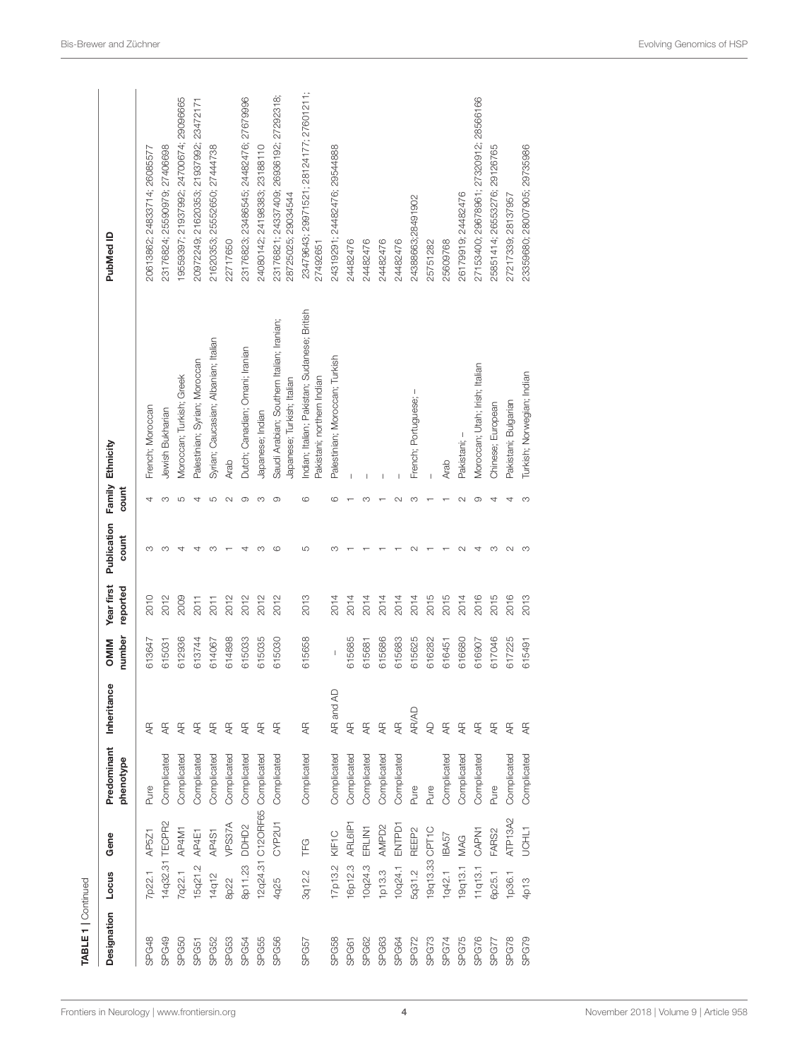| <b>TABLE 1</b>   Continued |           |                   |                               |                |                                                                                                                                                                                                                                                                                                                                                                                  |                        |                      |        |                                                                            |                                                               |
|----------------------------|-----------|-------------------|-------------------------------|----------------|----------------------------------------------------------------------------------------------------------------------------------------------------------------------------------------------------------------------------------------------------------------------------------------------------------------------------------------------------------------------------------|------------------------|----------------------|--------|----------------------------------------------------------------------------|---------------------------------------------------------------|
| Designation                | Locus     | Gene              | Predominant<br>phenotype      | Inheritance    | number<br><b>OMIN</b>                                                                                                                                                                                                                                                                                                                                                            | Year first<br>reported | Publication<br>count | count  | Family Ethnicity                                                           | PubMed ID                                                     |
| SPG48                      | 7p22.1    | AP521             | Pure                          | Æ              | 613647                                                                                                                                                                                                                                                                                                                                                                           | 2010                   | ო                    | 4      | French; Moroccan                                                           | 20613862; 24833714; 26085577                                  |
| SPG49                      |           | 14q32.31 TECPR2   | Complicated                   | Æ              | 615031                                                                                                                                                                                                                                                                                                                                                                           | 2012                   | co                   | S      | Jewish Bukharian                                                           | 23176824; 25590979; 27406698                                  |
| SPG50                      | 7q22.1    | AP4M1             | Complicated                   | $\overline{4}$ | 612936                                                                                                                                                                                                                                                                                                                                                                           | 2009                   | 4                    | 5      | Moroccan; Turkish; Greek                                                   | 19559397; 21937992; 24700674; 29096665                        |
| SPG51                      | 15q21.2   | AP4E1             | Complicated                   | $rac{1}{4}$    | 613744                                                                                                                                                                                                                                                                                                                                                                           | 2011                   | 4                    | 4      | Palestinian; Syrian; Moroccan                                              | 20972249; 21620353; 21937992; 23472171                        |
| SPG52                      | 14q12     | AP4S1             | Complicated                   | $rac{1}{4}$    | 614067                                                                                                                                                                                                                                                                                                                                                                           | 2011                   | m                    | 5      | Syrian; Caucasian; Albanian; Italian                                       | 21620353; 25552650; 27444738                                  |
| SPG53                      | 8p22      | VPS37A            | Complicated                   | $\overline{4}$ | 614898                                                                                                                                                                                                                                                                                                                                                                           | 2012                   |                      | $\sim$ | Arab                                                                       | 22717650                                                      |
| <b>SPG54</b>               | 8p11.23   | DDHD <sub>2</sub> | Complicated                   | Æ              | 615033                                                                                                                                                                                                                                                                                                                                                                           | 2012                   | 4                    | တ      | Dutch; Canadian; Omani; Iranian                                            | 23176823; 23486545; 24482476; 27679996                        |
| SPG55                      |           |                   | 12q24.31 C12ORF65 Complicated | $rac{1}{4}$    | 615035                                                                                                                                                                                                                                                                                                                                                                           | 2012                   | m                    | S      | Japanese; Indian                                                           | 24080142; 24198383; 23188110                                  |
| SPG56                      | 4q25      | CYP2U1            | Complicated                   | $\overline{4}$ | 615030                                                                                                                                                                                                                                                                                                                                                                           | 2012                   | c                    | ာ      | Saudi Arabian; Southern Italian; Iranian;<br>Japanese; Turkish; Italian    | 23176821; 24337409; 26936192; 27292318;<br>28725025; 29034544 |
| SPG57                      | 3q12.2    | TFG               | Complicated                   | Æ              | 615658                                                                                                                                                                                                                                                                                                                                                                           | 2013                   | LO                   | ဖ      | Indian; Italian; Pakistan; Sudanese; British<br>Pakistani; northern Indian | 23479643; 29971521; 28124177; 27601211<br>27492651            |
| SPG58                      | 17p13.2   | KIF1C             | Complicated                   | Q<br>AR and    | $\begin{array}{c} \rule{0pt}{2.5ex} \rule{0pt}{2.5ex} \rule{0pt}{2.5ex} \rule{0pt}{2.5ex} \rule{0pt}{2.5ex} \rule{0pt}{2.5ex} \rule{0pt}{2.5ex} \rule{0pt}{2.5ex} \rule{0pt}{2.5ex} \rule{0pt}{2.5ex} \rule{0pt}{2.5ex} \rule{0pt}{2.5ex} \rule{0pt}{2.5ex} \rule{0pt}{2.5ex} \rule{0pt}{2.5ex} \rule{0pt}{2.5ex} \rule{0pt}{2.5ex} \rule{0pt}{2.5ex} \rule{0pt}{2.5ex} \rule{0$ | 2014                   | m                    | ဖ      | Palestinian; Moroccan; Turkish                                             | 24319291; 24482476; 29544888                                  |
| SPG61                      | 16p12.3   | ARL6IP1           | Complicated                   | $\overline{4}$ | 615685                                                                                                                                                                                                                                                                                                                                                                           | 2014                   |                      |        |                                                                            | 24482476                                                      |
| SPG62                      | 10q24.3   | ERLIN'I           | Complicated                   | Æ              | 615681                                                                                                                                                                                                                                                                                                                                                                           | 2014                   |                      | m      |                                                                            | 24482476                                                      |
| SPG63                      | 1p13.3    | AMPD <sub>2</sub> | Complicated                   | Æ              | 615686                                                                                                                                                                                                                                                                                                                                                                           | 2014                   |                      |        |                                                                            | 24482476                                                      |
| SPG64                      | 10q24.1   | ENTPD1            | Complicated                   | $\frac{1}{4}$  | 615683                                                                                                                                                                                                                                                                                                                                                                           | 2014                   |                      |        |                                                                            | 24482476                                                      |
| SPG72                      | 5q31.2    | REEP <sub>2</sub> | Pure                          | <b>AR/AD</b>   | 615625                                                                                                                                                                                                                                                                                                                                                                           | 2014                   |                      | m      | I<br>French; Portuguese;                                                   | 24388663;28491902                                             |
| SPG73                      |           | 19q13.33 CPT1C    | Pure                          | $\overline{A}$ | 616282                                                                                                                                                                                                                                                                                                                                                                           | 2015                   |                      |        |                                                                            | 25751282                                                      |
| SPG74                      | $1$ q42.1 | <b>IBA57</b>      | Complicated                   | Æ              | 616451                                                                                                                                                                                                                                                                                                                                                                           | 2015                   |                      |        | Arab                                                                       | 25609768                                                      |
| <b>SPG75</b>               | 19q13.1   | MAG               | Complicated                   | Æ              | 616680                                                                                                                                                                                                                                                                                                                                                                           | 2014                   |                      | $\sim$ | Pakistani; -                                                               | 26179919; 24482476                                            |
| <b>SPG76</b>               | 11q13.1   | CAPN1             | Complicated                   | $\overline{4}$ | 616907                                                                                                                                                                                                                                                                                                                                                                           | 2016                   |                      | σ.     | Moroccan; Utah; Irish; Italian                                             | 27153400; 29678961; 27320912; 28566166                        |
| SPG77                      | 6p25.1    | FARS <sub>2</sub> | Pure                          | $\frac{1}{4}$  | 617046                                                                                                                                                                                                                                                                                                                                                                           | 2015                   | m                    | ₹      | Chinese; European                                                          | 25851414; 26553276; 29126765                                  |
| SPG78                      | 1p36.1    | ATP13A2           | Complicated                   | $rac{1}{4}$    | 617225                                                                                                                                                                                                                                                                                                                                                                           | 2016                   | $\scriptstyle\sim$   | 4      | Pakistani; Bulgarian                                                       | 27217339; 28137957                                            |
| SPG79                      | 4p13      | UCHL1             | Complicated                   | Æ              | 615491                                                                                                                                                                                                                                                                                                                                                                           | 2013                   | co                   | S      | Turkish; Norwegian; Indian                                                 | 23359680; 28007905; 29735986                                  |
|                            |           |                   |                               |                |                                                                                                                                                                                                                                                                                                                                                                                  |                        |                      |        |                                                                            |                                                               |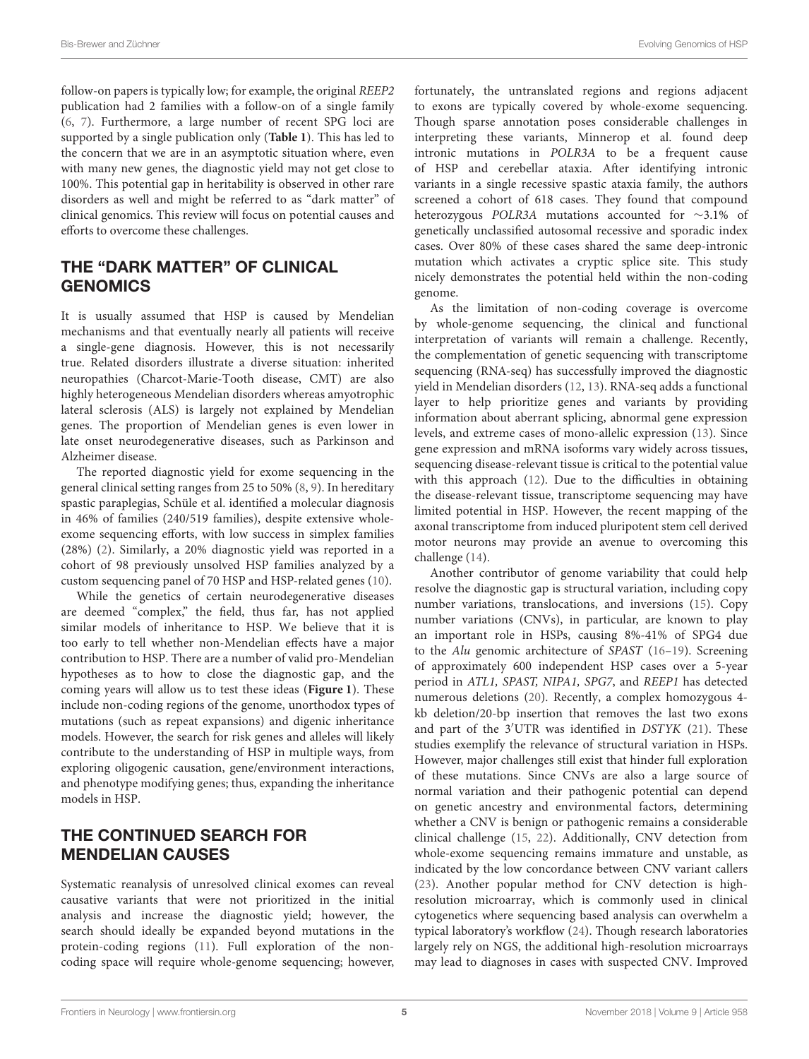follow-on papers is typically low; for example, the original REEP2 publication had 2 families with a follow-on of a single family [\(6,](#page-8-5) [7\)](#page-8-6). Furthermore, a large number of recent SPG loci are supported by a single publication only (**[Table 1](#page-1-0)**). This has led to the concern that we are in an asymptotic situation where, even with many new genes, the diagnostic yield may not get close to 100%. This potential gap in heritability is observed in other rare disorders as well and might be referred to as "dark matter" of clinical genomics. This review will focus on potential causes and efforts to overcome these challenges.

# THE "DARK MATTER" OF CLINICAL GENOMICS

It is usually assumed that HSP is caused by Mendelian mechanisms and that eventually nearly all patients will receive a single-gene diagnosis. However, this is not necessarily true. Related disorders illustrate a diverse situation: inherited neuropathies (Charcot-Marie-Tooth disease, CMT) are also highly heterogeneous Mendelian disorders whereas amyotrophic lateral sclerosis (ALS) is largely not explained by Mendelian genes. The proportion of Mendelian genes is even lower in late onset neurodegenerative diseases, such as Parkinson and Alzheimer disease.

The reported diagnostic yield for exome sequencing in the general clinical setting ranges from 25 to 50% [\(8,](#page-8-7) [9\)](#page-8-8). In hereditary spastic paraplegias, Schüle et al. identified a molecular diagnosis in 46% of families (240/519 families), despite extensive wholeexome sequencing efforts, with low success in simplex families (28%) [\(2\)](#page-8-1). Similarly, a 20% diagnostic yield was reported in a cohort of 98 previously unsolved HSP families analyzed by a custom sequencing panel of 70 HSP and HSP-related genes [\(10\)](#page-8-9).

While the genetics of certain neurodegenerative diseases are deemed "complex," the field, thus far, has not applied similar models of inheritance to HSP. We believe that it is too early to tell whether non-Mendelian effects have a major contribution to HSP. There are a number of valid pro-Mendelian hypotheses as to how to close the diagnostic gap, and the coming years will allow us to test these ideas (**[Figure 1](#page-5-0)**). These include non-coding regions of the genome, unorthodox types of mutations (such as repeat expansions) and digenic inheritance models. However, the search for risk genes and alleles will likely contribute to the understanding of HSP in multiple ways, from exploring oligogenic causation, gene/environment interactions, and phenotype modifying genes; thus, expanding the inheritance models in HSP.

# THE CONTINUED SEARCH FOR MENDELIAN CAUSES

Systematic reanalysis of unresolved clinical exomes can reveal causative variants that were not prioritized in the initial analysis and increase the diagnostic yield; however, the search should ideally be expanded beyond mutations in the protein-coding regions [\(11\)](#page-8-10). Full exploration of the noncoding space will require whole-genome sequencing; however, fortunately, the untranslated regions and regions adjacent to exons are typically covered by whole-exome sequencing. Though sparse annotation poses considerable challenges in interpreting these variants, Minnerop et al. found deep intronic mutations in POLR3A to be a frequent cause of HSP and cerebellar ataxia. After identifying intronic variants in a single recessive spastic ataxia family, the authors screened a cohort of 618 cases. They found that compound heterozygous POLR3A mutations accounted for ∼3.1% of genetically unclassified autosomal recessive and sporadic index cases. Over 80% of these cases shared the same deep-intronic mutation which activates a cryptic splice site. This study nicely demonstrates the potential held within the non-coding genome.

As the limitation of non-coding coverage is overcome by whole-genome sequencing, the clinical and functional interpretation of variants will remain a challenge. Recently, the complementation of genetic sequencing with transcriptome sequencing (RNA-seq) has successfully improved the diagnostic yield in Mendelian disorders [\(12,](#page-8-11) [13\)](#page-8-12). RNA-seq adds a functional layer to help prioritize genes and variants by providing information about aberrant splicing, abnormal gene expression levels, and extreme cases of mono-allelic expression [\(13\)](#page-8-12). Since gene expression and mRNA isoforms vary widely across tissues, sequencing disease-relevant tissue is critical to the potential value with this approach [\(12\)](#page-8-11). Due to the difficulties in obtaining the disease-relevant tissue, transcriptome sequencing may have limited potential in HSP. However, the recent mapping of the axonal transcriptome from induced pluripotent stem cell derived motor neurons may provide an avenue to overcoming this challenge [\(14\)](#page-8-13).

Another contributor of genome variability that could help resolve the diagnostic gap is structural variation, including copy number variations, translocations, and inversions [\(15\)](#page-8-14). Copy number variations (CNVs), in particular, are known to play an important role in HSPs, causing 8%-41% of SPG4 due to the Alu genomic architecture of SPAST [\(16–](#page-8-15)[19\)](#page-9-0). Screening of approximately 600 independent HSP cases over a 5-year period in ATL1, SPAST, NIPA1, SPG7, and REEP1 has detected numerous deletions [\(20\)](#page-9-1). Recently, a complex homozygous 4 kb deletion/20-bp insertion that removes the last two exons and part of the 3′UTR was identified in DSTYK [\(21\)](#page-9-2). These studies exemplify the relevance of structural variation in HSPs. However, major challenges still exist that hinder full exploration of these mutations. Since CNVs are also a large source of normal variation and their pathogenic potential can depend on genetic ancestry and environmental factors, determining whether a CNV is benign or pathogenic remains a considerable clinical challenge [\(15,](#page-8-14) [22\)](#page-9-3). Additionally, CNV detection from whole-exome sequencing remains immature and unstable, as indicated by the low concordance between CNV variant callers [\(23\)](#page-9-4). Another popular method for CNV detection is highresolution microarray, which is commonly used in clinical cytogenetics where sequencing based analysis can overwhelm a typical laboratory's workflow [\(24\)](#page-9-5). Though research laboratories largely rely on NGS, the additional high-resolution microarrays may lead to diagnoses in cases with suspected CNV. Improved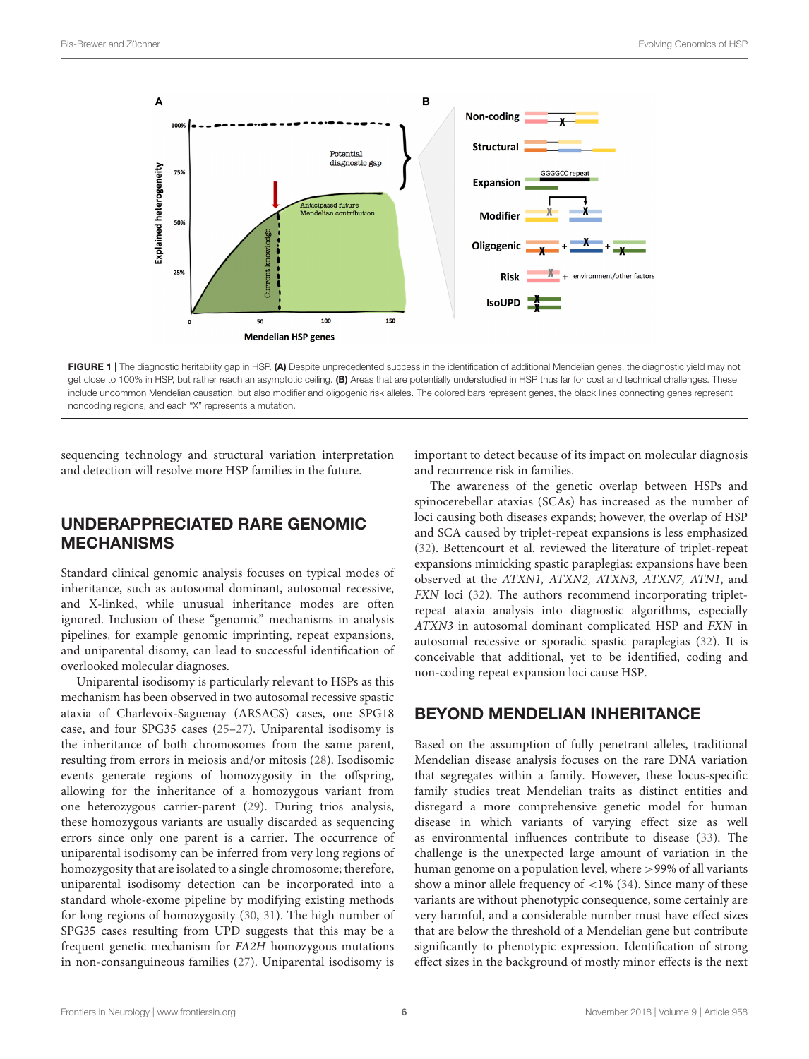

<span id="page-5-0"></span>sequencing technology and structural variation interpretation and detection will resolve more HSP families in the future.

# UNDERAPPRECIATED RARE GENOMIC MECHANISMS

Standard clinical genomic analysis focuses on typical modes of inheritance, such as autosomal dominant, autosomal recessive, and X-linked, while unusual inheritance modes are often ignored. Inclusion of these "genomic" mechanisms in analysis pipelines, for example genomic imprinting, repeat expansions, and uniparental disomy, can lead to successful identification of overlooked molecular diagnoses.

Uniparental isodisomy is particularly relevant to HSPs as this mechanism has been observed in two autosomal recessive spastic ataxia of Charlevoix-Saguenay (ARSACS) cases, one SPG18 case, and four SPG35 cases [\(25–](#page-9-6)[27\)](#page-9-7). Uniparental isodisomy is the inheritance of both chromosomes from the same parent, resulting from errors in meiosis and/or mitosis [\(28\)](#page-9-8). Isodisomic events generate regions of homozygosity in the offspring, allowing for the inheritance of a homozygous variant from one heterozygous carrier-parent [\(29\)](#page-9-9). During trios analysis, these homozygous variants are usually discarded as sequencing errors since only one parent is a carrier. The occurrence of uniparental isodisomy can be inferred from very long regions of homozygosity that are isolated to a single chromosome; therefore, uniparental isodisomy detection can be incorporated into a standard whole-exome pipeline by modifying existing methods for long regions of homozygosity [\(30,](#page-9-10) [31\)](#page-9-11). The high number of SPG35 cases resulting from UPD suggests that this may be a frequent genetic mechanism for FA2H homozygous mutations in non-consanguineous families [\(27\)](#page-9-7). Uniparental isodisomy is important to detect because of its impact on molecular diagnosis and recurrence risk in families.

The awareness of the genetic overlap between HSPs and spinocerebellar ataxias (SCAs) has increased as the number of loci causing both diseases expands; however, the overlap of HSP and SCA caused by triplet-repeat expansions is less emphasized [\(32\)](#page-9-12). Bettencourt et al. reviewed the literature of triplet-repeat expansions mimicking spastic paraplegias: expansions have been observed at the ATXN1, ATXN2, ATXN3, ATXN7, ATN1, and FXN loci [\(32\)](#page-9-12). The authors recommend incorporating tripletrepeat ataxia analysis into diagnostic algorithms, especially ATXN3 in autosomal dominant complicated HSP and FXN in autosomal recessive or sporadic spastic paraplegias [\(32\)](#page-9-12). It is conceivable that additional, yet to be identified, coding and non-coding repeat expansion loci cause HSP.

## BEYOND MENDELIAN INHERITANCE

Based on the assumption of fully penetrant alleles, traditional Mendelian disease analysis focuses on the rare DNA variation that segregates within a family. However, these locus-specific family studies treat Mendelian traits as distinct entities and disregard a more comprehensive genetic model for human disease in which variants of varying effect size as well as environmental influences contribute to disease [\(33\)](#page-9-13). The challenge is the unexpected large amount of variation in the human genome on a population level, where >99% of all variants show a minor allele frequency of  $\langle 1\% (34)$  $\langle 1\% (34)$ . Since many of these variants are without phenotypic consequence, some certainly are very harmful, and a considerable number must have effect sizes that are below the threshold of a Mendelian gene but contribute significantly to phenotypic expression. Identification of strong effect sizes in the background of mostly minor effects is the next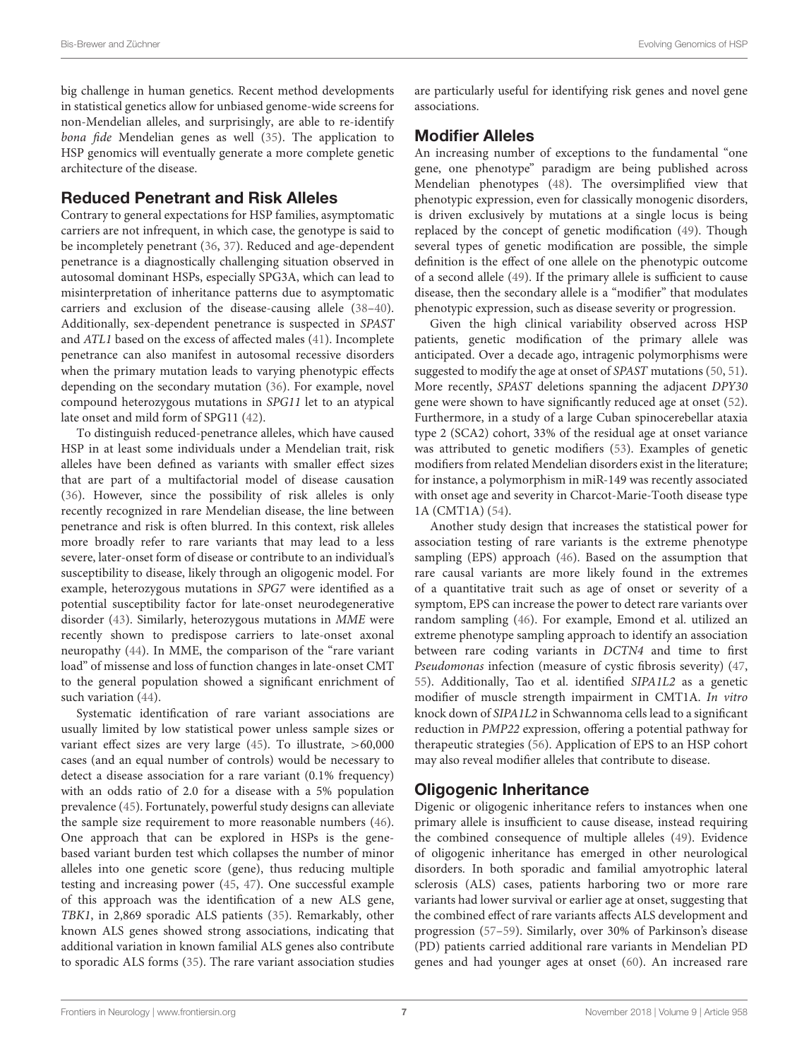big challenge in human genetics. Recent method developments in statistical genetics allow for unbiased genome-wide screens for non-Mendelian alleles, and surprisingly, are able to re-identify bona fide Mendelian genes as well [\(35\)](#page-9-15). The application to HSP genomics will eventually generate a more complete genetic architecture of the disease.

#### Reduced Penetrant and Risk Alleles

Contrary to general expectations for HSP families, asymptomatic carriers are not infrequent, in which case, the genotype is said to be incompletely penetrant [\(36,](#page-9-16) [37\)](#page-9-17). Reduced and age-dependent penetrance is a diagnostically challenging situation observed in autosomal dominant HSPs, especially SPG3A, which can lead to misinterpretation of inheritance patterns due to asymptomatic carriers and exclusion of the disease-causing allele [\(38–](#page-9-18)[40\)](#page-9-19). Additionally, sex-dependent penetrance is suspected in SPAST and ATL1 based on the excess of affected males [\(41\)](#page-9-20). Incomplete penetrance can also manifest in autosomal recessive disorders when the primary mutation leads to varying phenotypic effects depending on the secondary mutation [\(36\)](#page-9-16). For example, novel compound heterozygous mutations in SPG11 let to an atypical late onset and mild form of SPG11 [\(42\)](#page-9-21).

To distinguish reduced-penetrance alleles, which have caused HSP in at least some individuals under a Mendelian trait, risk alleles have been defined as variants with smaller effect sizes that are part of a multifactorial model of disease causation [\(36\)](#page-9-16). However, since the possibility of risk alleles is only recently recognized in rare Mendelian disease, the line between penetrance and risk is often blurred. In this context, risk alleles more broadly refer to rare variants that may lead to a less severe, later-onset form of disease or contribute to an individual's susceptibility to disease, likely through an oligogenic model. For example, heterozygous mutations in SPG7 were identified as a potential susceptibility factor for late-onset neurodegenerative disorder [\(43\)](#page-9-22). Similarly, heterozygous mutations in MME were recently shown to predispose carriers to late-onset axonal neuropathy [\(44\)](#page-9-23). In MME, the comparison of the "rare variant load" of missense and loss of function changes in late-onset CMT to the general population showed a significant enrichment of such variation [\(44\)](#page-9-23).

Systematic identification of rare variant associations are usually limited by low statistical power unless sample sizes or variant effect sizes are very large [\(45\)](#page-9-24). To illustrate, >60,000 cases (and an equal number of controls) would be necessary to detect a disease association for a rare variant (0.1% frequency) with an odds ratio of 2.0 for a disease with a 5% population prevalence [\(45\)](#page-9-24). Fortunately, powerful study designs can alleviate the sample size requirement to more reasonable numbers [\(46\)](#page-9-25). One approach that can be explored in HSPs is the genebased variant burden test which collapses the number of minor alleles into one genetic score (gene), thus reducing multiple testing and increasing power [\(45,](#page-9-24) [47\)](#page-9-26). One successful example of this approach was the identification of a new ALS gene, TBK1, in 2,869 sporadic ALS patients [\(35\)](#page-9-15). Remarkably, other known ALS genes showed strong associations, indicating that additional variation in known familial ALS genes also contribute to sporadic ALS forms [\(35\)](#page-9-15). The rare variant association studies are particularly useful for identifying risk genes and novel gene associations.

#### Modifier Alleles

An increasing number of exceptions to the fundamental "one gene, one phenotype" paradigm are being published across Mendelian phenotypes [\(48\)](#page-9-27). The oversimplified view that phenotypic expression, even for classically monogenic disorders, is driven exclusively by mutations at a single locus is being replaced by the concept of genetic modification [\(49\)](#page-9-28). Though several types of genetic modification are possible, the simple definition is the effect of one allele on the phenotypic outcome of a second allele [\(49\)](#page-9-28). If the primary allele is sufficient to cause disease, then the secondary allele is a "modifier" that modulates phenotypic expression, such as disease severity or progression.

Given the high clinical variability observed across HSP patients, genetic modification of the primary allele was anticipated. Over a decade ago, intragenic polymorphisms were suggested to modify the age at onset of SPAST mutations [\(50,](#page-9-29) [51\)](#page-9-30). More recently, SPAST deletions spanning the adjacent DPY30 gene were shown to have significantly reduced age at onset [\(52\)](#page-9-31). Furthermore, in a study of a large Cuban spinocerebellar ataxia type 2 (SCA2) cohort, 33% of the residual age at onset variance was attributed to genetic modifiers [\(53\)](#page-9-32). Examples of genetic modifiers from related Mendelian disorders exist in the literature; for instance, a polymorphism in miR-149 was recently associated with onset age and severity in Charcot-Marie-Tooth disease type 1A (CMT1A) [\(54\)](#page-9-33).

Another study design that increases the statistical power for association testing of rare variants is the extreme phenotype sampling (EPS) approach [\(46\)](#page-9-25). Based on the assumption that rare causal variants are more likely found in the extremes of a quantitative trait such as age of onset or severity of a symptom, EPS can increase the power to detect rare variants over random sampling [\(46\)](#page-9-25). For example, Emond et al. utilized an extreme phenotype sampling approach to identify an association between rare coding variants in DCTN4 and time to first Pseudomonas infection (measure of cystic fibrosis severity) [\(47,](#page-9-26) [55\)](#page-9-34). Additionally, Tao et al. identified SIPA1L2 as a genetic modifier of muscle strength impairment in CMT1A. In vitro knock down of SIPA1L2 in Schwannoma cells lead to a significant reduction in PMP22 expression, offering a potential pathway for therapeutic strategies [\(56\)](#page-9-35). Application of EPS to an HSP cohort may also reveal modifier alleles that contribute to disease.

## Oligogenic Inheritance

Digenic or oligogenic inheritance refers to instances when one primary allele is insufficient to cause disease, instead requiring the combined consequence of multiple alleles [\(49\)](#page-9-28). Evidence of oligogenic inheritance has emerged in other neurological disorders. In both sporadic and familial amyotrophic lateral sclerosis (ALS) cases, patients harboring two or more rare variants had lower survival or earlier age at onset, suggesting that the combined effect of rare variants affects ALS development and progression [\(57](#page-10-0)[–59\)](#page-10-1). Similarly, over 30% of Parkinson's disease (PD) patients carried additional rare variants in Mendelian PD genes and had younger ages at onset [\(60\)](#page-10-2). An increased rare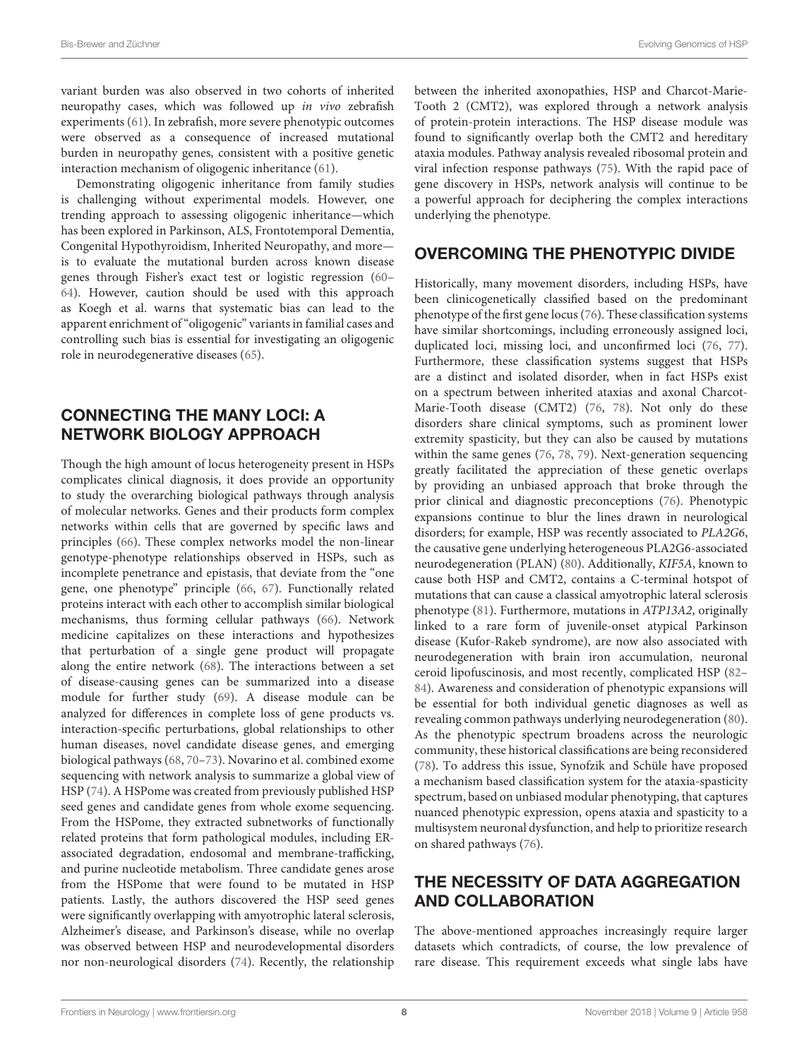variant burden was also observed in two cohorts of inherited neuropathy cases, which was followed up in vivo zebrafish experiments [\(61\)](#page-10-3). In zebrafish, more severe phenotypic outcomes were observed as a consequence of increased mutational burden in neuropathy genes, consistent with a positive genetic interaction mechanism of oligogenic inheritance [\(61\)](#page-10-3).

Demonstrating oligogenic inheritance from family studies is challenging without experimental models. However, one trending approach to assessing oligogenic inheritance—which has been explored in Parkinson, ALS, Frontotemporal Dementia, Congenital Hypothyroidism, Inherited Neuropathy, and more is to evaluate the mutational burden across known disease genes through Fisher's exact test or logistic regression [\(60–](#page-10-2) [64\)](#page-10-4). However, caution should be used with this approach as Koegh et al. warns that systematic bias can lead to the apparent enrichment of "oligogenic" variants in familial cases and controlling such bias is essential for investigating an oligogenic role in neurodegenerative diseases [\(65\)](#page-10-5).

# CONNECTING THE MANY LOCI: A NETWORK BIOLOGY APPROACH

Though the high amount of locus heterogeneity present in HSPs complicates clinical diagnosis, it does provide an opportunity to study the overarching biological pathways through analysis of molecular networks. Genes and their products form complex networks within cells that are governed by specific laws and principles [\(66\)](#page-10-6). These complex networks model the non-linear genotype-phenotype relationships observed in HSPs, such as incomplete penetrance and epistasis, that deviate from the "one gene, one phenotype" principle [\(66,](#page-10-6) [67\)](#page-10-7). Functionally related proteins interact with each other to accomplish similar biological mechanisms, thus forming cellular pathways [\(66\)](#page-10-6). Network medicine capitalizes on these interactions and hypothesizes that perturbation of a single gene product will propagate along the entire network [\(68\)](#page-10-8). The interactions between a set of disease-causing genes can be summarized into a disease module for further study [\(69\)](#page-10-9). A disease module can be analyzed for differences in complete loss of gene products vs. interaction-specific perturbations, global relationships to other human diseases, novel candidate disease genes, and emerging biological pathways [\(68,](#page-10-8) [70](#page-10-10)[–73\)](#page-10-11). Novarino et al. combined exome sequencing with network analysis to summarize a global view of HSP [\(74\)](#page-10-12). A HSPome was created from previously published HSP seed genes and candidate genes from whole exome sequencing. From the HSPome, they extracted subnetworks of functionally related proteins that form pathological modules, including ERassociated degradation, endosomal and membrane-trafficking, and purine nucleotide metabolism. Three candidate genes arose from the HSPome that were found to be mutated in HSP patients. Lastly, the authors discovered the HSP seed genes were significantly overlapping with amyotrophic lateral sclerosis, Alzheimer's disease, and Parkinson's disease, while no overlap was observed between HSP and neurodevelopmental disorders nor non-neurological disorders [\(74\)](#page-10-12). Recently, the relationship between the inherited axonopathies, HSP and Charcot-Marie-Tooth 2 (CMT2), was explored through a network analysis of protein-protein interactions. The HSP disease module was found to significantly overlap both the CMT2 and hereditary ataxia modules. Pathway analysis revealed ribosomal protein and viral infection response pathways [\(75\)](#page-10-13). With the rapid pace of gene discovery in HSPs, network analysis will continue to be a powerful approach for deciphering the complex interactions underlying the phenotype.

# OVERCOMING THE PHENOTYPIC DIVIDE

Historically, many movement disorders, including HSPs, have been clinicogenetically classified based on the predominant phenotype of the first gene locus [\(76\)](#page-10-14). These classification systems have similar shortcomings, including erroneously assigned loci, duplicated loci, missing loci, and unconfirmed loci [\(76,](#page-10-14) [77\)](#page-10-15). Furthermore, these classification systems suggest that HSPs are a distinct and isolated disorder, when in fact HSPs exist on a spectrum between inherited ataxias and axonal Charcot-Marie-Tooth disease (CMT2) [\(76,](#page-10-14) [78\)](#page-10-16). Not only do these disorders share clinical symptoms, such as prominent lower extremity spasticity, but they can also be caused by mutations within the same genes [\(76,](#page-10-14) [78,](#page-10-16) [79\)](#page-10-17). Next-generation sequencing greatly facilitated the appreciation of these genetic overlaps by providing an unbiased approach that broke through the prior clinical and diagnostic preconceptions [\(76\)](#page-10-14). Phenotypic expansions continue to blur the lines drawn in neurological disorders; for example, HSP was recently associated to PLA2G6, the causative gene underlying heterogeneous PLA2G6-associated neurodegeneration (PLAN) [\(80\)](#page-10-18). Additionally, KIF5A, known to cause both HSP and CMT2, contains a C-terminal hotspot of mutations that can cause a classical amyotrophic lateral sclerosis phenotype [\(81\)](#page-10-19). Furthermore, mutations in ATP13A2, originally linked to a rare form of juvenile-onset atypical Parkinson disease (Kufor-Rakeb syndrome), are now also associated with neurodegeneration with brain iron accumulation, neuronal ceroid lipofuscinosis, and most recently, complicated HSP [\(82–](#page-10-20) [84\)](#page-10-21). Awareness and consideration of phenotypic expansions will be essential for both individual genetic diagnoses as well as revealing common pathways underlying neurodegeneration [\(80\)](#page-10-18). As the phenotypic spectrum broadens across the neurologic community, these historical classifications are being reconsidered [\(78\)](#page-10-16). To address this issue, Synofzik and Schüle have proposed a mechanism based classification system for the ataxia-spasticity spectrum, based on unbiased modular phenotyping, that captures nuanced phenotypic expression, opens ataxia and spasticity to a multisystem neuronal dysfunction, and help to prioritize research on shared pathways [\(76\)](#page-10-14).

# THE NECESSITY OF DATA AGGREGATION AND COLLABORATION

The above-mentioned approaches increasingly require larger datasets which contradicts, of course, the low prevalence of rare disease. This requirement exceeds what single labs have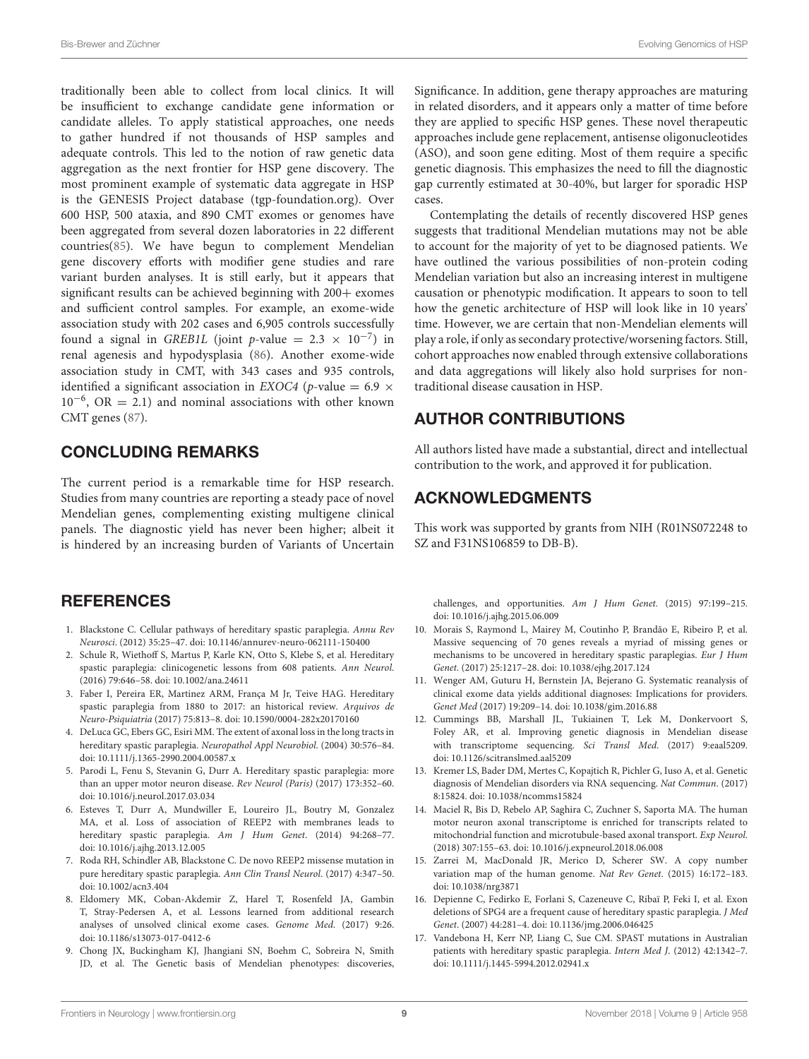Bis-Brewer and Züchner **Evolving Genomics of HSP** extensive and Tucket and Tucket and Tucket and Tucket and Tucket and Tucket and Tucket and Tucket and Tucket and Tucket and Tucket and Tucket and Tucket and Tucket and Tuck

traditionally been able to collect from local clinics. It will be insufficient to exchange candidate gene information or candidate alleles. To apply statistical approaches, one needs to gather hundred if not thousands of HSP samples and adequate controls. This led to the notion of raw genetic data aggregation as the next frontier for HSP gene discovery. The most prominent example of systematic data aggregate in HSP is the GENESIS Project database (tgp-foundation.org). Over 600 HSP, 500 ataxia, and 890 CMT exomes or genomes have been aggregated from several dozen laboratories in 22 different countries[\(85\)](#page-10-22). We have begun to complement Mendelian gene discovery efforts with modifier gene studies and rare variant burden analyses. It is still early, but it appears that significant results can be achieved beginning with  $200+$  exomes and sufficient control samples. For example, an exome-wide association study with 202 cases and 6,905 controls successfully found a signal in *GREB1L* (joint *p*-value =  $2.3 \times 10^{-7}$ ) in renal agenesis and hypodysplasia [\(86\)](#page-10-23). Another exome-wide association study in CMT, with 343 cases and 935 controls, identified a significant association in EXOC4 (p-value = 6.9  $\times$ 10−<sup>6</sup> , OR = 2.1) and nominal associations with other known CMT genes [\(87\)](#page-10-24).

## CONCLUDING REMARKS

The current period is a remarkable time for HSP research. Studies from many countries are reporting a steady pace of novel Mendelian genes, complementing existing multigene clinical panels. The diagnostic yield has never been higher; albeit it is hindered by an increasing burden of Variants of Uncertain

## **REFERENCES**

- <span id="page-8-0"></span>1. Blackstone C. Cellular pathways of hereditary spastic paraplegia. Annu Rev Neurosci. (2012) 35:25–47. doi: [10.1146/annurev-neuro-062111-150400](https://doi.org/10.1146/annurev-neuro-062111-150400)
- <span id="page-8-1"></span>2. Schule R, Wiethoff S, Martus P, Karle KN, Otto S, Klebe S, et al. Hereditary spastic paraplegia: clinicogenetic lessons from 608 patients. Ann Neurol. (2016) 79:646–58. doi: [10.1002/ana.24611](https://doi.org/10.1002/ana.24611)
- <span id="page-8-2"></span>3. Faber I, Pereira ER, Martinez ARM, França M Jr, Teive HAG. Hereditary spastic paraplegia from 1880 to 2017: an historical review. Arquivos de Neuro-Psiquiatria (2017) 75:813–8. doi: [10.1590/0004-282x20170160](https://doi.org/10.1590/0004-282x20170160)
- <span id="page-8-3"></span>4. DeLuca GC, Ebers GC, Esiri MM. The extent of axonal loss in the long tracts in hereditary spastic paraplegia. Neuropathol Appl Neurobiol. (2004) 30:576–84. doi: [10.1111/j.1365-2990.2004.00587.x](https://doi.org/10.1111/j.1365-2990.2004.00587.x)
- <span id="page-8-4"></span>5. Parodi L, Fenu S, Stevanin G, Durr A. Hereditary spastic paraplegia: more than an upper motor neuron disease. Rev Neurol (Paris) (2017) 173:352–60. doi: [10.1016/j.neurol.2017.03.034](https://doi.org/10.1016/j.neurol.2017.03.034)
- <span id="page-8-5"></span>6. Esteves T, Durr A, Mundwiller E, Loureiro JL, Boutry M, Gonzalez MA, et al. Loss of association of REEP2 with membranes leads to hereditary spastic paraplegia. Am J Hum Genet. (2014) 94:268–77. doi: [10.1016/j.ajhg.2013.12.005](https://doi.org/10.1016/j.ajhg.2013.12.005)
- <span id="page-8-6"></span>7. Roda RH, Schindler AB, Blackstone C. De novo REEP2 missense mutation in pure hereditary spastic paraplegia. Ann Clin Transl Neurol. (2017) 4:347–50. doi: [10.1002/acn3.404](https://doi.org/10.1002/acn3.404)
- <span id="page-8-7"></span>8. Eldomery MK, Coban-Akdemir Z, Harel T, Rosenfeld JA, Gambin T, Stray-Pedersen A, et al. Lessons learned from additional research analyses of unsolved clinical exome cases. Genome Med. (2017) 9:26. doi: [10.1186/s13073-017-0412-6](https://doi.org/10.1186/s13073-017-0412-6)
- <span id="page-8-8"></span>9. Chong JX, Buckingham KJ, Jhangiani SN, Boehm C, Sobreira N, Smith JD, et al. The Genetic basis of Mendelian phenotypes: discoveries,

Significance. In addition, gene therapy approaches are maturing in related disorders, and it appears only a matter of time before they are applied to specific HSP genes. These novel therapeutic approaches include gene replacement, antisense oligonucleotides (ASO), and soon gene editing. Most of them require a specific genetic diagnosis. This emphasizes the need to fill the diagnostic gap currently estimated at 30-40%, but larger for sporadic HSP cases.

Contemplating the details of recently discovered HSP genes suggests that traditional Mendelian mutations may not be able to account for the majority of yet to be diagnosed patients. We have outlined the various possibilities of non-protein coding Mendelian variation but also an increasing interest in multigene causation or phenotypic modification. It appears to soon to tell how the genetic architecture of HSP will look like in 10 years' time. However, we are certain that non-Mendelian elements will play a role, if only as secondary protective/worsening factors. Still, cohort approaches now enabled through extensive collaborations and data aggregations will likely also hold surprises for nontraditional disease causation in HSP.

# AUTHOR CONTRIBUTIONS

All authors listed have made a substantial, direct and intellectual contribution to the work, and approved it for publication.

# ACKNOWLEDGMENTS

This work was supported by grants from NIH (R01NS072248 to SZ and F31NS106859 to DB-B).

challenges, and opportunities. Am J Hum Genet. (2015) 97:199–215. doi: [10.1016/j.ajhg.2015.06.009](https://doi.org/10.1016/j.ajhg.2015.06.009)

- <span id="page-8-9"></span>10. Morais S, Raymond L, Mairey M, Coutinho P, Brandão E, Ribeiro P, et al. Massive sequencing of 70 genes reveals a myriad of missing genes or mechanisms to be uncovered in hereditary spastic paraplegias. Eur J Hum Genet. (2017) 25:1217–28. doi: [10.1038/ejhg.2017.124](https://doi.org/10.1038/ejhg.2017.124)
- <span id="page-8-10"></span>11. Wenger AM, Guturu H, Bernstein JA, Bejerano G. Systematic reanalysis of clinical exome data yields additional diagnoses: Implications for providers. Genet Med (2017) 19:209–14. doi: [10.1038/gim.2016.88](https://doi.org/10.1038/gim.2016.88)
- <span id="page-8-11"></span>12. Cummings BB, Marshall JL, Tukiainen T, Lek M, Donkervoort S, Foley AR, et al. Improving genetic diagnosis in Mendelian disease with transcriptome sequencing. Sci Transl Med. (2017) 9:eaal5209. doi: [10.1126/scitranslmed.aal5209](https://doi.org/10.1126/scitranslmed.aal5209)
- <span id="page-8-12"></span>13. Kremer LS, Bader DM, Mertes C, Kopajtich R, Pichler G, Iuso A, et al. Genetic diagnosis of Mendelian disorders via RNA sequencing. Nat Commun. (2017) 8:15824. doi: [10.1038/ncomms15824](https://doi.org/10.1038/ncomms15824)
- <span id="page-8-13"></span>14. Maciel R, Bis D, Rebelo AP, Saghira C, Zuchner S, Saporta MA. The human motor neuron axonal transcriptome is enriched for transcripts related to mitochondrial function and microtubule-based axonal transport. Exp Neurol. (2018) 307:155–63. doi: [10.1016/j.expneurol.2018.06.008](https://doi.org/10.1016/j.expneurol.2018.06.008)
- <span id="page-8-14"></span>15. Zarrei M, MacDonald JR, Merico D, Scherer SW. A copy number variation map of the human genome. Nat Rev Genet. (2015) 16:172–183. doi: [10.1038/nrg3871](https://doi.org/10.1038/nrg3871)
- <span id="page-8-15"></span>16. Depienne C, Fedirko E, Forlani S, Cazeneuve C, Ribaï P, Feki I, et al. Exon deletions of SPG4 are a frequent cause of hereditary spastic paraplegia. J Med Genet. (2007) 44:281–4. doi: [10.1136/jmg.2006.046425](https://doi.org/10.1136/jmg.2006.046425)
- 17. Vandebona H, Kerr NP, Liang C, Sue CM. SPAST mutations in Australian patients with hereditary spastic paraplegia. Intern Med J. (2012) 42:1342–7. doi: [10.1111/j.1445-5994.2012.02941.x](https://doi.org/10.1111/j.1445-5994.2012.02941.x)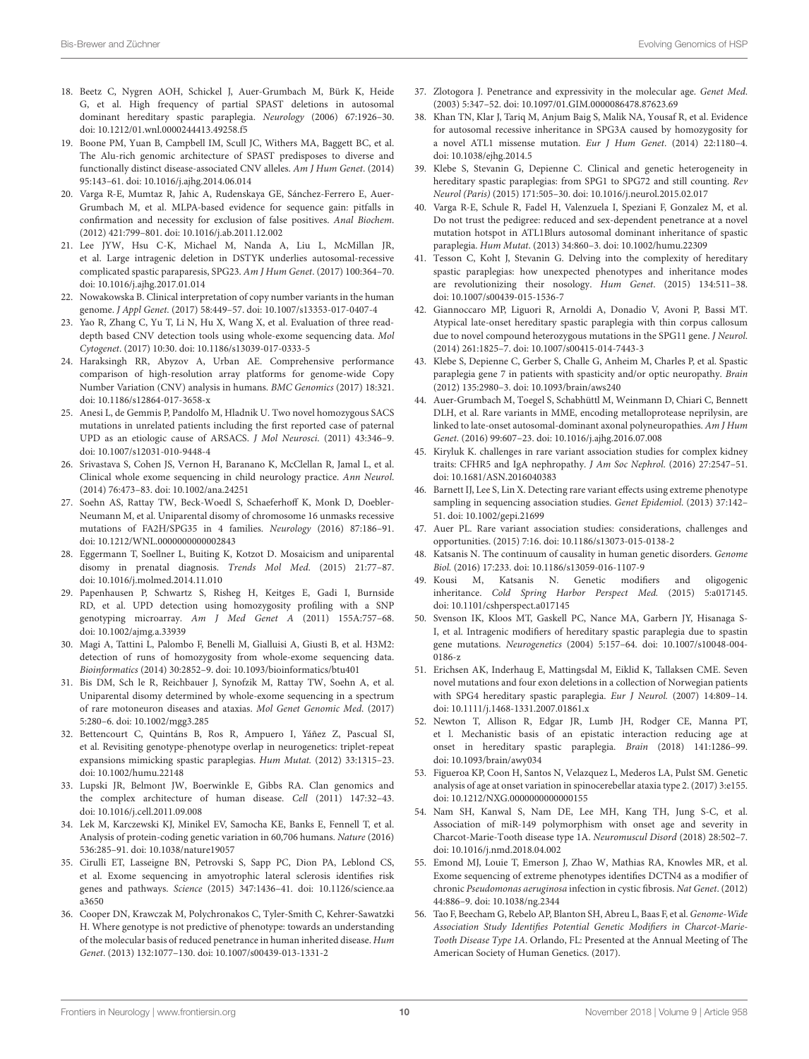- 18. Beetz C, Nygren AOH, Schickel J, Auer-Grumbach M, Bürk K, Heide G, et al. High frequency of partial SPAST deletions in autosomal dominant hereditary spastic paraplegia. Neurology (2006) 67:1926–30. doi: [10.1212/01.wnl.0000244413.49258.f5](https://doi.org/10.1212/01.wnl.0000244413.49258.f5)
- <span id="page-9-0"></span>19. Boone PM, Yuan B, Campbell IM, Scull JC, Withers MA, Baggett BC, et al. The Alu-rich genomic architecture of SPAST predisposes to diverse and functionally distinct disease-associated CNV alleles. Am J Hum Genet. (2014) 95:143–61. doi: [10.1016/j.ajhg.2014.06.014](https://doi.org/10.1016/j.ajhg.2014.06.014)
- <span id="page-9-1"></span>20. Varga R-E, Mumtaz R, Jahic A, Rudenskaya GE, Sánchez-Ferrero E, Auer-Grumbach M, et al. MLPA-based evidence for sequence gain: pitfalls in confirmation and necessity for exclusion of false positives. Anal Biochem. (2012) 421:799–801. doi: [10.1016/j.ab.2011.12.002](https://doi.org/10.1016/j.ab.2011.12.002)
- <span id="page-9-2"></span>21. Lee JYW, Hsu C-K, Michael M, Nanda A, Liu L, McMillan JR, et al. Large intragenic deletion in DSTYK underlies autosomal-recessive complicated spastic paraparesis, SPG23. Am J Hum Genet. (2017) 100:364–70. doi: [10.1016/j.ajhg.2017.01.014](https://doi.org/10.1016/j.ajhg.2017.01.014)
- <span id="page-9-3"></span>22. Nowakowska B. Clinical interpretation of copy number variants in the human genome. J Appl Genet. (2017) 58:449–57. doi: [10.1007/s13353-017-0407-4](https://doi.org/10.1007/s13353-017-0407-4)
- <span id="page-9-4"></span>23. Yao R, Zhang C, Yu T, Li N, Hu X, Wang X, et al. Evaluation of three readdepth based CNV detection tools using whole-exome sequencing data. Mol Cytogenet. (2017) 10:30. doi: [10.1186/s13039-017-0333-5](https://doi.org/10.1186/s13039-017-0333-5)
- <span id="page-9-5"></span>24. Haraksingh RR, Abyzov A, Urban AE. Comprehensive performance comparison of high-resolution array platforms for genome-wide Copy Number Variation (CNV) analysis in humans. BMC Genomics (2017) 18:321. doi: [10.1186/s12864-017-3658-x](https://doi.org/10.1186/s12864-017-3658-x)
- <span id="page-9-6"></span>25. Anesi L, de Gemmis P, Pandolfo M, Hladnik U. Two novel homozygous SACS mutations in unrelated patients including the first reported case of paternal UPD as an etiologic cause of ARSACS. J Mol Neurosci. (2011) 43:346–9. doi: [10.1007/s12031-010-9448-4](https://doi.org/10.1007/s12031-010-9448-4)
- 26. Srivastava S, Cohen JS, Vernon H, Baranano K, McClellan R, Jamal L, et al. Clinical whole exome sequencing in child neurology practice. Ann Neurol. (2014) 76:473–83. doi: [10.1002/ana.24251](https://doi.org/10.1002/ana.24251)
- <span id="page-9-7"></span>27. Soehn AS, Rattay TW, Beck-Woedl S, Schaeferhoff K, Monk D, Doebler-Neumann M, et al. Uniparental disomy of chromosome 16 unmasks recessive mutations of FA2H/SPG35 in 4 families. Neurology (2016) 87:186–91. doi: [10.1212/WNL.0000000000002843](https://doi.org/10.1212/WNL.0000000000002843)
- <span id="page-9-8"></span>28. Eggermann T, Soellner L, Buiting K, Kotzot D. Mosaicism and uniparental disomy in prenatal diagnosis. Trends Mol Med. (2015) 21:77–87. doi: [10.1016/j.molmed.2014.11.010](https://doi.org/10.1016/j.molmed.2014.11.010)
- <span id="page-9-9"></span>29. Papenhausen P, Schwartz S, Risheg H, Keitges E, Gadi I, Burnside RD, et al. UPD detection using homozygosity profiling with a SNP genotyping microarray. Am J Med Genet A (2011) 155A:757–68. doi: [10.1002/ajmg.a.33939](https://doi.org/10.1002/ajmg.a.33939)
- <span id="page-9-10"></span>30. Magi A, Tattini L, Palombo F, Benelli M, Gialluisi A, Giusti B, et al. H3M2: detection of runs of homozygosity from whole-exome sequencing data. Bioinformatics (2014) 30:2852–9. doi: [10.1093/bioinformatics/btu401](https://doi.org/10.1093/bioinformatics/btu401)
- <span id="page-9-11"></span>31. Bis DM, Sch le R, Reichbauer J, Synofzik M, Rattay TW, Soehn A, et al. Uniparental disomy determined by whole-exome sequencing in a spectrum of rare motoneuron diseases and ataxias. Mol Genet Genomic Med. (2017) 5:280–6. doi: [10.1002/mgg3.285](https://doi.org/10.1002/mgg3.285)
- <span id="page-9-12"></span>32. Bettencourt C, Quintáns B, Ros R, Ampuero I, Yáñez Z, Pascual SI, et al. Revisiting genotype-phenotype overlap in neurogenetics: triplet-repeat expansions mimicking spastic paraplegias. Hum Mutat. (2012) 33:1315–23. doi: [10.1002/humu.22148](https://doi.org/10.1002/humu.22148)
- <span id="page-9-13"></span>33. Lupski JR, Belmont JW, Boerwinkle E, Gibbs RA. Clan genomics and the complex architecture of human disease. Cell (2011) 147:32–43. doi: [10.1016/j.cell.2011.09.008](https://doi.org/10.1016/j.cell.2011.09.008)
- <span id="page-9-14"></span>34. Lek M, Karczewski KJ, Minikel EV, Samocha KE, Banks E, Fennell T, et al. Analysis of protein-coding genetic variation in 60,706 humans. Nature (2016) 536:285–91. doi: [10.1038/nature19057](https://doi.org/10.1038/nature19057)
- <span id="page-9-15"></span>35. Cirulli ET, Lasseigne BN, Petrovski S, Sapp PC, Dion PA, Leblond CS, et al. Exome sequencing in amyotrophic lateral sclerosis identifies risk genes and pathways. Science [\(2015\) 347:1436–41. doi: 10.1126/science.aa](https://doi.org/10.1126/science.aaa3650) a3650
- <span id="page-9-16"></span>36. Cooper DN, Krawczak M, Polychronakos C, Tyler-Smith C, Kehrer-Sawatzki H. Where genotype is not predictive of phenotype: towards an understanding of the molecular basis of reduced penetrance in human inherited disease. Hum Genet. (2013) 132:1077–130. doi: [10.1007/s00439-013-1331-2](https://doi.org/10.1007/s00439-013-1331-2)
- <span id="page-9-17"></span>37. Zlotogora J. Penetrance and expressivity in the molecular age. Genet Med. (2003) 5:347–52. doi: [10.1097/01.GIM.0000086478.87623.69](https://doi.org/10.1097/01.GIM.0000086478.87623.69)
- <span id="page-9-18"></span>38. Khan TN, Klar J, Tariq M, Anjum Baig S, Malik NA, Yousaf R, et al. Evidence for autosomal recessive inheritance in SPG3A caused by homozygosity for a novel ATL1 missense mutation. Eur J Hum Genet. (2014) 22:1180–4. doi: [10.1038/ejhg.2014.5](https://doi.org/10.1038/ejhg.2014.5)
- 39. Klebe S, Stevanin G, Depienne C. Clinical and genetic heterogeneity in hereditary spastic paraplegias: from SPG1 to SPG72 and still counting. Rev Neurol (Paris) (2015) 171:505–30. doi: [10.1016/j.neurol.2015.02.017](https://doi.org/10.1016/j.neurol.2015.02.017)
- <span id="page-9-19"></span>40. Varga R-E, Schule R, Fadel H, Valenzuela I, Speziani F, Gonzalez M, et al. Do not trust the pedigree: reduced and sex-dependent penetrance at a novel mutation hotspot in ATL1Blurs autosomal dominant inheritance of spastic paraplegia. Hum Mutat. (2013) 34:860–3. doi: [10.1002/humu.22309](https://doi.org/10.1002/humu.22309)
- <span id="page-9-20"></span>41. Tesson C, Koht J, Stevanin G. Delving into the complexity of hereditary spastic paraplegias: how unexpected phenotypes and inheritance modes are revolutionizing their nosology. Hum Genet. (2015) 134:511–38. doi: [10.1007/s00439-015-1536-7](https://doi.org/10.1007/s00439-015-1536-7)
- <span id="page-9-21"></span>42. Giannoccaro MP, Liguori R, Arnoldi A, Donadio V, Avoni P, Bassi MT. Atypical late-onset hereditary spastic paraplegia with thin corpus callosum due to novel compound heterozygous mutations in the SPG11 gene. J Neurol. (2014) 261:1825–7. doi: [10.1007/s00415-014-7443-3](https://doi.org/10.1007/s00415-014-7443-3)
- <span id="page-9-22"></span>43. Klebe S, Depienne C, Gerber S, Challe G, Anheim M, Charles P, et al. Spastic paraplegia gene 7 in patients with spasticity and/or optic neuropathy. Brain (2012) 135:2980–3. doi: [10.1093/brain/aws240](https://doi.org/10.1093/brain/aws240)
- <span id="page-9-23"></span>44. Auer-Grumbach M, Toegel S, Schabhüttl M, Weinmann D, Chiari C, Bennett DLH, et al. Rare variants in MME, encoding metalloprotease neprilysin, are linked to late-onset autosomal-dominant axonal polyneuropathies. Am J Hum Genet. (2016) 99:607–23. doi: [10.1016/j.ajhg.2016.07.008](https://doi.org/10.1016/j.ajhg.2016.07.008)
- <span id="page-9-24"></span>45. Kiryluk K. challenges in rare variant association studies for complex kidney traits: CFHR5 and IgA nephropathy. J Am Soc Nephrol. (2016) 27:2547–51. doi: [10.1681/ASN.2016040383](https://doi.org/10.1681/ASN.2016040383)
- <span id="page-9-25"></span>46. Barnett IJ, Lee S, Lin X. Detecting rare variant effects using extreme phenotype sampling in sequencing association studies. Genet Epidemiol. (2013) 37:142– 51. doi: [10.1002/gepi.21699](https://doi.org/10.1002/gepi.21699)
- <span id="page-9-26"></span>47. Auer PL. Rare variant association studies: considerations, challenges and opportunities. (2015) 7:16. doi: [10.1186/s13073-015-0138-2](https://doi.org/10.1186/s13073-015-0138-2)
- <span id="page-9-27"></span>48. Katsanis N. The continuum of causality in human genetic disorders. Genome Biol. (2016) 17:233. doi: [10.1186/s13059-016-1107-9](https://doi.org/10.1186/s13059-016-1107-9)
- <span id="page-9-28"></span>49. Kousi M, Katsanis N. Genetic modifiers and oligogenic inheritance. Cold Spring Harbor Perspect Med. (2015) 5:a017145. doi: [10.1101/cshperspect.a017145](https://doi.org/10.1101/cshperspect.a017145)
- <span id="page-9-29"></span>50. Svenson IK, Kloos MT, Gaskell PC, Nance MA, Garbern JY, Hisanaga S-I, et al. Intragenic modifiers of hereditary spastic paraplegia due to spastin gene mutations. Neurogenetics [\(2004\) 5:157–64. doi: 10.1007/s10048-004-](https://doi.org/10.1007/s10048-004-0186-z) 0186-z
- <span id="page-9-30"></span>51. Erichsen AK, Inderhaug E, Mattingsdal M, Eiklid K, Tallaksen CME. Seven novel mutations and four exon deletions in a collection of Norwegian patients with SPG4 hereditary spastic paraplegia. Eur J Neurol. (2007) 14:809–14. doi: [10.1111/j.1468-1331.2007.01861.x](https://doi.org/10.1111/j.1468-1331.2007.01861.x)
- <span id="page-9-31"></span>52. Newton T, Allison R, Edgar JR, Lumb JH, Rodger CE, Manna PT, et l. Mechanistic basis of an epistatic interaction reducing age at onset in hereditary spastic paraplegia. Brain (2018) 141:1286–99. doi: [10.1093/brain/awy034](https://doi.org/10.1093/brain/awy034)
- <span id="page-9-32"></span>53. Figueroa KP, Coon H, Santos N, Velazquez L, Mederos LA, Pulst SM. Genetic analysis of age at onset variation in spinocerebellar ataxia type 2.(2017) 3:e155. doi: [10.1212/NXG.0000000000000155](https://doi.org/10.1212/NXG.0000000000000155)
- <span id="page-9-33"></span>54. Nam SH, Kanwal S, Nam DE, Lee MH, Kang TH, Jung S-C, et al. Association of miR-149 polymorphism with onset age and severity in Charcot-Marie-Tooth disease type 1A. Neuromuscul Disord (2018) 28:502–7. doi: [10.1016/j.nmd.2018.04.002](https://doi.org/10.1016/j.nmd.2018.04.002)
- <span id="page-9-34"></span>55. Emond MJ, Louie T, Emerson J, Zhao W, Mathias RA, Knowles MR, et al. Exome sequencing of extreme phenotypes identifies DCTN4 as a modifier of chronic Pseudomonas aeruginosa infection in cystic fibrosis. Nat Genet. (2012) 44:886–9. doi: [10.1038/ng.2344](https://doi.org/10.1038/ng.2344)
- <span id="page-9-35"></span>56. Tao F, Beecham G, Rebelo AP, Blanton SH, Abreu L, Baas F, et al. Genome-Wide Association Study Identifies Potential Genetic Modifiers in Charcot-Marie-Tooth Disease Type 1A. Orlando, FL: Presented at the Annual Meeting of The American Society of Human Genetics. (2017).